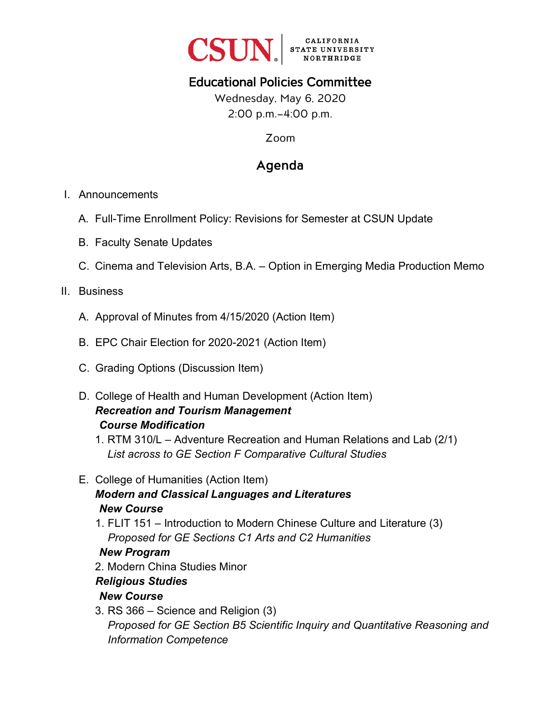

# Educational Policies Committee

Wednesday, May 6, 2020 2:00 p.m.–4:00 p.m.

Zoom

# Agenda

#### I. Announcements

- A. Full-Time Enrollment Policy: Revisions for Semester at CSUN Update
- B. Faculty Senate Updates
- C. Cinema and Television Arts, B.A. Option in Emerging Media Production Memo

## II. Business

- A. Approval of Minutes from 4/15/2020 (Action Item)
- B. EPC Chair Election for 2020-2021 (Action Item)
- C. Grading Options (Discussion Item)
- D. College of Health and Human Development (Action Item) *Recreation and Tourism Management Course Modification*
	- 1. RTM 310/L Adventure Recreation and Human Relations and Lab (2/1) *List across to GE Section F Comparative Cultural Studies*

## E. College of Humanities (Action Item)

# *Modern and Classical Languages and Literatures New Course*

1. FLIT 151 – Introduction to Modern Chinese Culture and Literature (3) *Proposed for GE Sections C1 Arts and C2 Humanities* 

## *New Program*

2. Modern China Studies Minor

# *Religious Studies*

# *New Course*

3. RS 366 – Science and Religion (3) *Proposed for GE Section B5 Scientific Inquiry and Quantitative Reasoning and Information Competence*